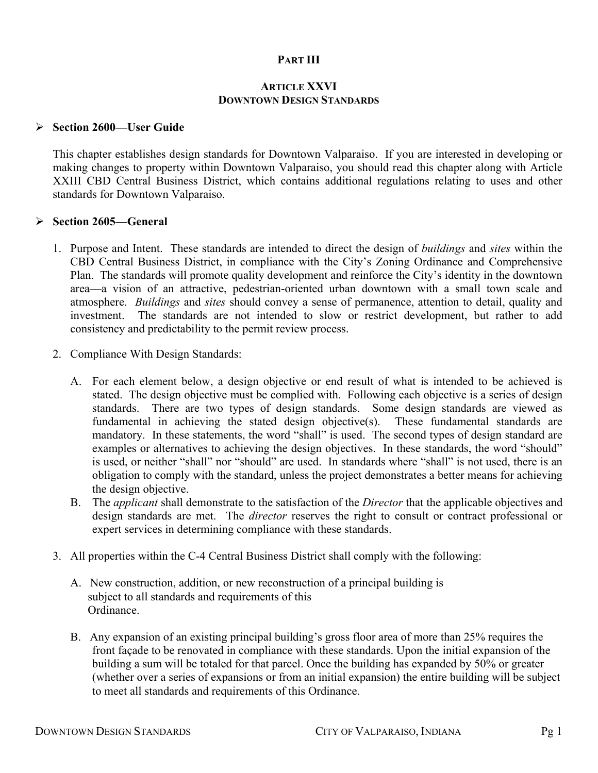## **PART III**

#### **ARTICLE XXVI DOWNTOWN DESIGN STANDARDS**

#### ¾ **Section 2600—User Guide**

This chapter establishes design standards for Downtown Valparaiso. If you are interested in developing or making changes to property within Downtown Valparaiso, you should read this chapter along with Article XXIII CBD Central Business District, which contains additional regulations relating to uses and other standards for Downtown Valparaiso.

#### ¾ **Section 2605—General**

- 1. Purpose and Intent. These standards are intended to direct the design of *buildings* and *sites* within the CBD Central Business District, in compliance with the City's Zoning Ordinance and Comprehensive Plan. The standards will promote quality development and reinforce the City's identity in the downtown area—a vision of an attractive, pedestrian-oriented urban downtown with a small town scale and atmosphere. *Buildings* and *sites* should convey a sense of permanence, attention to detail, quality and investment. The standards are not intended to slow or restrict development, but rather to add consistency and predictability to the permit review process.
- 2. Compliance With Design Standards:
	- A. For each element below, a design objective or end result of what is intended to be achieved is stated. The design objective must be complied with. Following each objective is a series of design standards. There are two types of design standards. Some design standards are viewed as fundamental in achieving the stated design objective(s). These fundamental standards are mandatory. In these statements, the word "shall" is used. The second types of design standard are examples or alternatives to achieving the design objectives. In these standards, the word "should" is used, or neither "shall" nor "should" are used. In standards where "shall" is not used, there is an obligation to comply with the standard, unless the project demonstrates a better means for achieving the design objective.
	- B. The *applicant* shall demonstrate to the satisfaction of the *Director* that the applicable objectives and design standards are met. The *director* reserves the right to consult or contract professional or expert services in determining compliance with these standards.
- 3. All properties within the C-4 Central Business District shall comply with the following:
	- A. New construction, addition, or new reconstruction of a principal building is subject to all standards and requirements of this Ordinance.
	- B. Any expansion of an existing principal building's gross floor area of more than 25% requires the front façade to be renovated in compliance with these standards. Upon the initial expansion of the building a sum will be totaled for that parcel. Once the building has expanded by 50% or greater (whether over a series of expansions or from an initial expansion) the entire building will be subject to meet all standards and requirements of this Ordinance.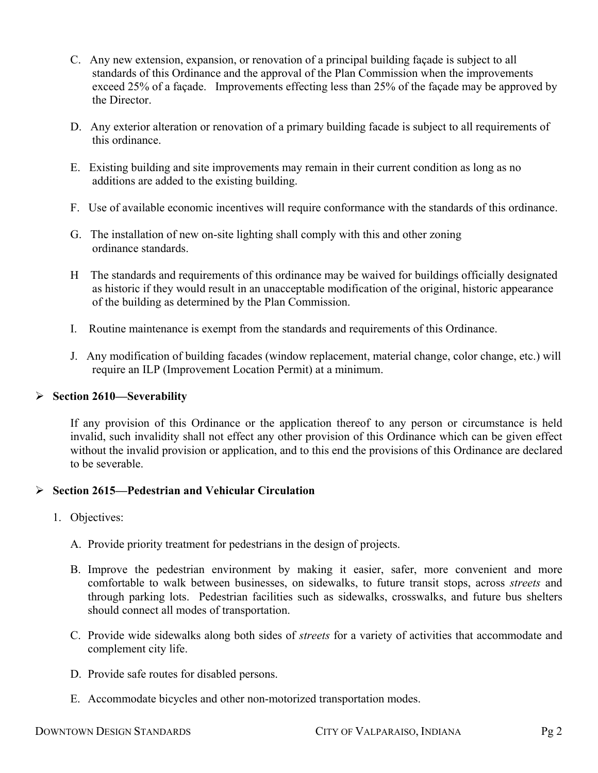- C. Any new extension, expansion, or renovation of a principal building façade is subject to all standards of this Ordinance and the approval of the Plan Commission when the improvements exceed 25% of a façade. Improvements effecting less than 25% of the façade may be approved by the Director.
- D. Any exterior alteration or renovation of a primary building facade is subject to all requirements of this ordinance.
- E. Existing building and site improvements may remain in their current condition as long as no additions are added to the existing building.
- F. Use of available economic incentives will require conformance with the standards of this ordinance.
- G. The installation of new on-site lighting shall comply with this and other zoning ordinance standards.
- H The standards and requirements of this ordinance may be waived for buildings officially designated as historic if they would result in an unacceptable modification of the original, historic appearance of the building as determined by the Plan Commission.
- I. Routine maintenance is exempt from the standards and requirements of this Ordinance.
- J. Any modification of building facades (window replacement, material change, color change, etc.) will require an ILP (Improvement Location Permit) at a minimum.

#### ¾ **Section 2610—Severability**

If any provision of this Ordinance or the application thereof to any person or circumstance is held invalid, such invalidity shall not effect any other provision of this Ordinance which can be given effect without the invalid provision or application, and to this end the provisions of this Ordinance are declared to be severable.

## ¾ **Section 2615—Pedestrian and Vehicular Circulation**

- 1. Objectives:
	- A. Provide priority treatment for pedestrians in the design of projects.
	- B. Improve the pedestrian environment by making it easier, safer, more convenient and more comfortable to walk between businesses, on sidewalks, to future transit stops, across *streets* and through parking lots. Pedestrian facilities such as sidewalks, crosswalks, and future bus shelters should connect all modes of transportation.
	- C. Provide wide sidewalks along both sides of *streets* for a variety of activities that accommodate and complement city life.
	- D. Provide safe routes for disabled persons.
	- E. Accommodate bicycles and other non-motorized transportation modes.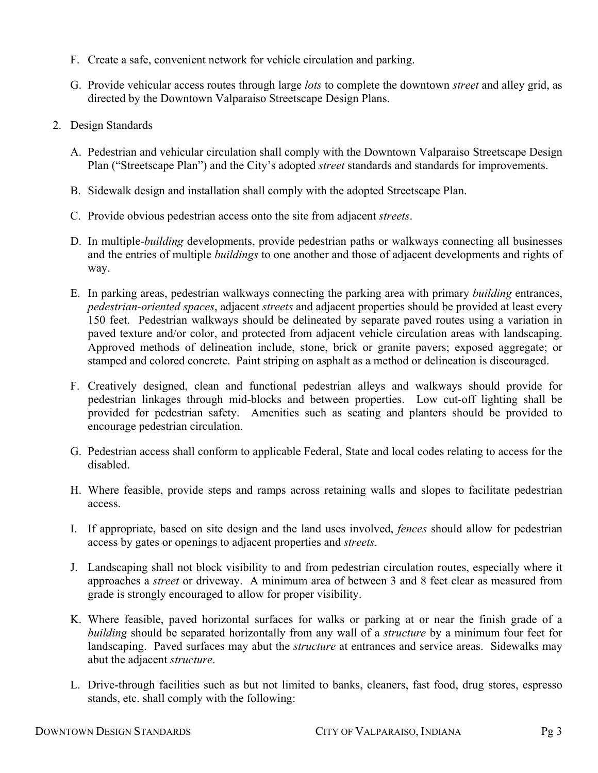- F. Create a safe, convenient network for vehicle circulation and parking.
- G. Provide vehicular access routes through large *lots* to complete the downtown *street* and alley grid, as directed by the Downtown Valparaiso Streetscape Design Plans.
- 2. Design Standards
	- A. Pedestrian and vehicular circulation shall comply with the Downtown Valparaiso Streetscape Design Plan ("Streetscape Plan") and the City's adopted *street* standards and standards for improvements.
	- B. Sidewalk design and installation shall comply with the adopted Streetscape Plan.
	- C. Provide obvious pedestrian access onto the site from adjacent *streets*.
	- D. In multiple-*building* developments, provide pedestrian paths or walkways connecting all businesses and the entries of multiple *buildings* to one another and those of adjacent developments and rights of way.
	- E. In parking areas, pedestrian walkways connecting the parking area with primary *building* entrances, *pedestrian-oriented spaces*, adjacent *streets* and adjacent properties should be provided at least every 150 feet. Pedestrian walkways should be delineated by separate paved routes using a variation in paved texture and/or color, and protected from adjacent vehicle circulation areas with landscaping. Approved methods of delineation include, stone, brick or granite pavers; exposed aggregate; or stamped and colored concrete. Paint striping on asphalt as a method or delineation is discouraged.
	- F. Creatively designed, clean and functional pedestrian alleys and walkways should provide for pedestrian linkages through mid-blocks and between properties. Low cut-off lighting shall be provided for pedestrian safety. Amenities such as seating and planters should be provided to encourage pedestrian circulation.
	- G. Pedestrian access shall conform to applicable Federal, State and local codes relating to access for the disabled.
	- H. Where feasible, provide steps and ramps across retaining walls and slopes to facilitate pedestrian access.
	- I. If appropriate, based on site design and the land uses involved, *fences* should allow for pedestrian access by gates or openings to adjacent properties and *streets*.
	- J. Landscaping shall not block visibility to and from pedestrian circulation routes, especially where it approaches a *street* or driveway. A minimum area of between 3 and 8 feet clear as measured from grade is strongly encouraged to allow for proper visibility.
	- K. Where feasible, paved horizontal surfaces for walks or parking at or near the finish grade of a *building* should be separated horizontally from any wall of a *structure* by a minimum four feet for landscaping. Paved surfaces may abut the *structure* at entrances and service areas. Sidewalks may abut the adjacent *structure*.
	- L. Drive-through facilities such as but not limited to banks, cleaners, fast food, drug stores, espresso stands, etc. shall comply with the following: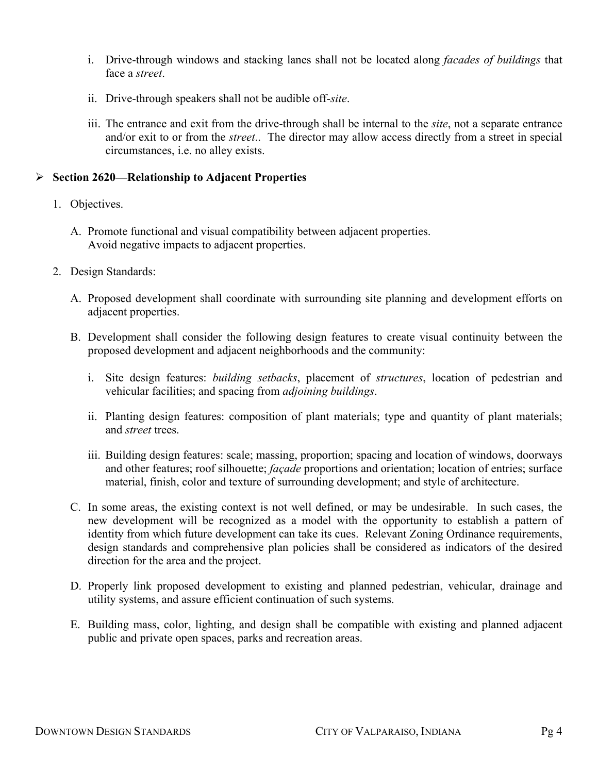- i. Drive-through windows and stacking lanes shall not be located along *facades of buildings* that face a *street*.
- ii. Drive-through speakers shall not be audible off-*site*.
- iii. The entrance and exit from the drive-through shall be internal to the *site*, not a separate entrance and/or exit to or from the *street*.. The director may allow access directly from a street in special circumstances, i.e. no alley exists.

#### ¾ **Section 2620—Relationship to Adjacent Properties**

- 1. Objectives.
	- A. Promote functional and visual compatibility between adjacent properties. Avoid negative impacts to adjacent properties.
- 2. Design Standards:
	- A. Proposed development shall coordinate with surrounding site planning and development efforts on adjacent properties.
	- B. Development shall consider the following design features to create visual continuity between the proposed development and adjacent neighborhoods and the community:
		- i. Site design features: *building setbacks*, placement of *structures*, location of pedestrian and vehicular facilities; and spacing from *adjoining buildings*.
		- ii. Planting design features: composition of plant materials; type and quantity of plant materials; and *street* trees.
		- iii. Building design features: scale; massing, proportion; spacing and location of windows, doorways and other features; roof silhouette; *façade* proportions and orientation; location of entries; surface material, finish, color and texture of surrounding development; and style of architecture.
	- C. In some areas, the existing context is not well defined, or may be undesirable. In such cases, the new development will be recognized as a model with the opportunity to establish a pattern of identity from which future development can take its cues. Relevant Zoning Ordinance requirements, design standards and comprehensive plan policies shall be considered as indicators of the desired direction for the area and the project.
	- D. Properly link proposed development to existing and planned pedestrian, vehicular, drainage and utility systems, and assure efficient continuation of such systems.
	- E. Building mass, color, lighting, and design shall be compatible with existing and planned adjacent public and private open spaces, parks and recreation areas.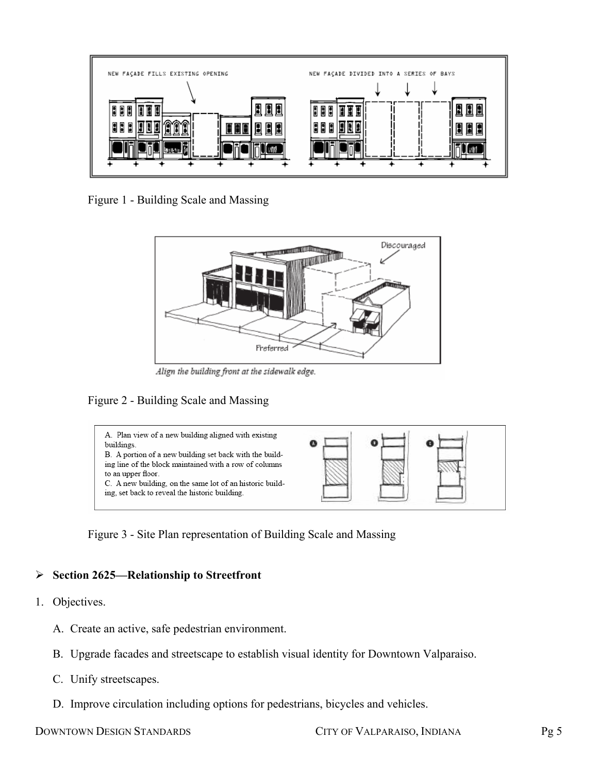

Figure 1 - Building Scale and Massing



Align the building front at the sidewalk edge.

## Figure 2 - Building Scale and Massing





## ¾ **Section 2625—Relationship to Streetfront**

- 1. Objectives.
	- A. Create an active, safe pedestrian environment.
	- B. Upgrade facades and streetscape to establish visual identity for Downtown Valparaiso.
	- C. Unify streetscapes.
	- D. Improve circulation including options for pedestrians, bicycles and vehicles.

DOWNTOWN DESIGN STANDARDS CITY OF VALPARAISO, INDIANA Pg 5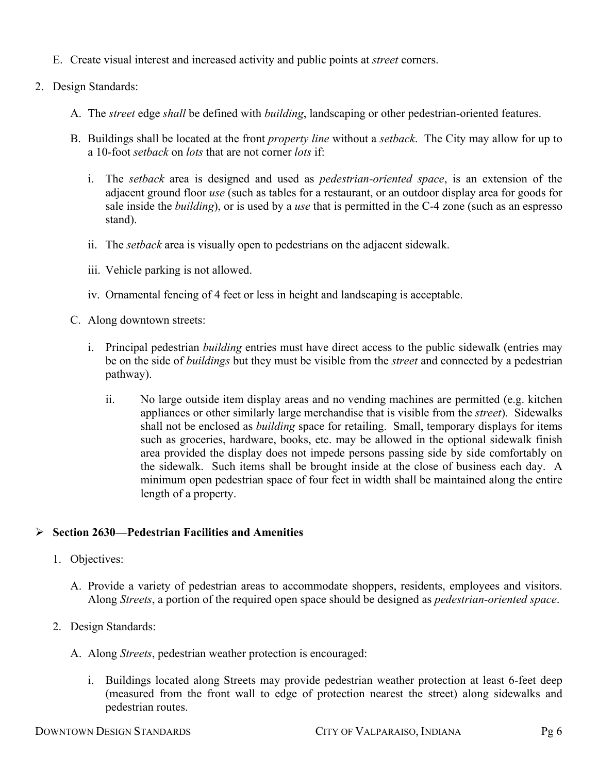- E. Create visual interest and increased activity and public points at *street* corners.
- 2. Design Standards:
	- A. The *street* edge *shall* be defined with *building*, landscaping or other pedestrian-oriented features.
	- B. Buildings shall be located at the front *property line* without a *setback*. The City may allow for up to a 10-foot *setback* on *lots* that are not corner *lots* if:
		- i. The *setback* area is designed and used as *pedestrian-oriented space*, is an extension of the adjacent ground floor *use* (such as tables for a restaurant, or an outdoor display area for goods for sale inside the *building*), or is used by a *use* that is permitted in the C-4 zone (such as an espresso stand).
		- ii. The *setback* area is visually open to pedestrians on the adjacent sidewalk.
		- iii. Vehicle parking is not allowed.
		- iv. Ornamental fencing of 4 feet or less in height and landscaping is acceptable.
	- C. Along downtown streets:
		- i. Principal pedestrian *building* entries must have direct access to the public sidewalk (entries may be on the side of *buildings* but they must be visible from the *street* and connected by a pedestrian pathway).
			- ii. No large outside item display areas and no vending machines are permitted (e.g. kitchen appliances or other similarly large merchandise that is visible from the *street*). Sidewalks shall not be enclosed as *building* space for retailing. Small, temporary displays for items such as groceries, hardware, books, etc. may be allowed in the optional sidewalk finish area provided the display does not impede persons passing side by side comfortably on the sidewalk. Such items shall be brought inside at the close of business each day. A minimum open pedestrian space of four feet in width shall be maintained along the entire length of a property.

## ¾ **Section 2630—Pedestrian Facilities and Amenities**

- 1. Objectives:
	- A. Provide a variety of pedestrian areas to accommodate shoppers, residents, employees and visitors. Along *Streets*, a portion of the required open space should be designed as *pedestrian-oriented space*.
- 2. Design Standards:
	- A. Along *Streets*, pedestrian weather protection is encouraged:
		- i. Buildings located along Streets may provide pedestrian weather protection at least 6-feet deep (measured from the front wall to edge of protection nearest the street) along sidewalks and pedestrian routes.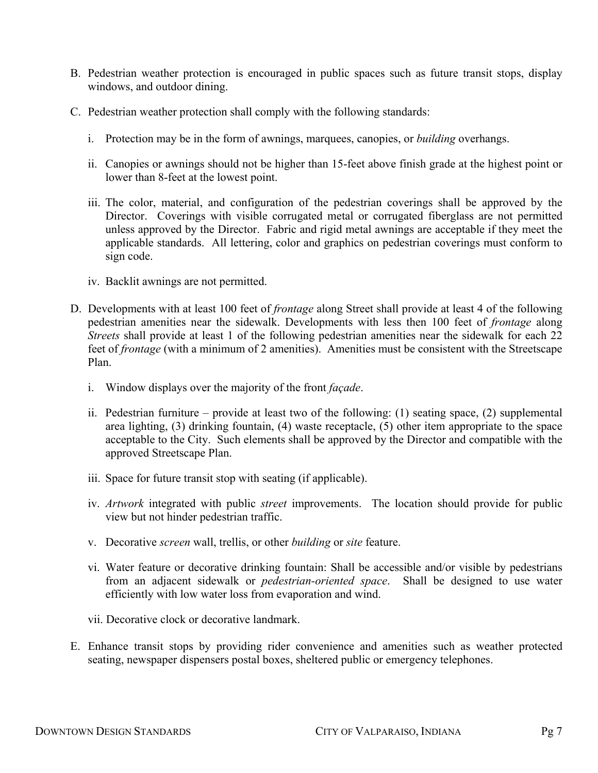- B. Pedestrian weather protection is encouraged in public spaces such as future transit stops, display windows, and outdoor dining.
- C. Pedestrian weather protection shall comply with the following standards:
	- i. Protection may be in the form of awnings, marquees, canopies, or *building* overhangs.
	- ii. Canopies or awnings should not be higher than 15-feet above finish grade at the highest point or lower than 8-feet at the lowest point.
	- iii. The color, material, and configuration of the pedestrian coverings shall be approved by the Director. Coverings with visible corrugated metal or corrugated fiberglass are not permitted unless approved by the Director. Fabric and rigid metal awnings are acceptable if they meet the applicable standards. All lettering, color and graphics on pedestrian coverings must conform to sign code.
	- iv. Backlit awnings are not permitted.
- D. Developments with at least 100 feet of *frontage* along Street shall provide at least 4 of the following pedestrian amenities near the sidewalk. Developments with less then 100 feet of *frontage* along *Streets* shall provide at least 1 of the following pedestrian amenities near the sidewalk for each 22 feet of *frontage* (with a minimum of 2 amenities). Amenities must be consistent with the Streetscape Plan.
	- i. Window displays over the majority of the front *façade*.
	- ii. Pedestrian furniture provide at least two of the following: (1) seating space, (2) supplemental area lighting, (3) drinking fountain, (4) waste receptacle, (5) other item appropriate to the space acceptable to the City. Such elements shall be approved by the Director and compatible with the approved Streetscape Plan.
	- iii. Space for future transit stop with seating (if applicable).
	- iv. *Artwork* integrated with public *street* improvements. The location should provide for public view but not hinder pedestrian traffic.
	- v. Decorative *screen* wall, trellis, or other *building* or *site* feature.
	- vi. Water feature or decorative drinking fountain: Shall be accessible and/or visible by pedestrians from an adjacent sidewalk or *pedestrian-oriented space*. Shall be designed to use water efficiently with low water loss from evaporation and wind.
	- vii. Decorative clock or decorative landmark.
- E. Enhance transit stops by providing rider convenience and amenities such as weather protected seating, newspaper dispensers postal boxes, sheltered public or emergency telephones.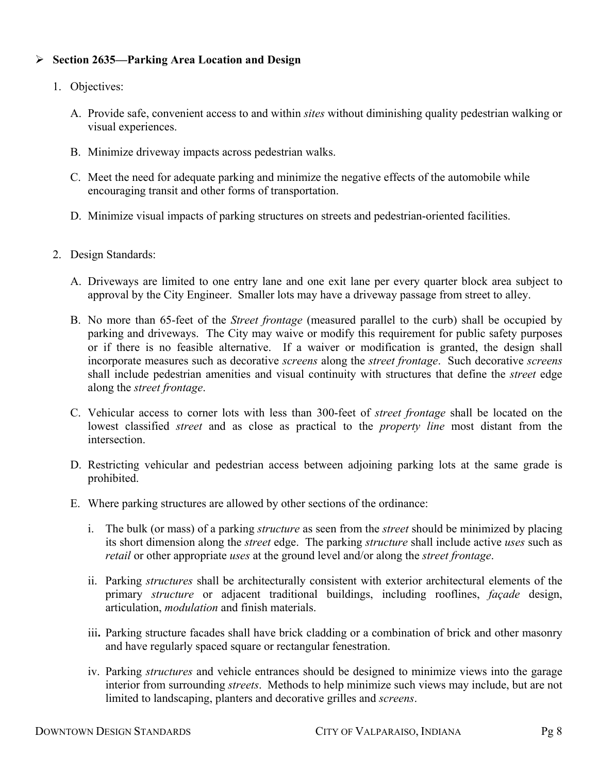# ¾ **Section 2635—Parking Area Location and Design**

- 1. Objectives:
	- A. Provide safe, convenient access to and within *sites* without diminishing quality pedestrian walking or visual experiences.
	- B. Minimize driveway impacts across pedestrian walks.
	- C. Meet the need for adequate parking and minimize the negative effects of the automobile while encouraging transit and other forms of transportation.
	- D. Minimize visual impacts of parking structures on streets and pedestrian-oriented facilities.
- 2. Design Standards:
	- A. Driveways are limited to one entry lane and one exit lane per every quarter block area subject to approval by the City Engineer. Smaller lots may have a driveway passage from street to alley.
	- B. No more than 65-feet of the *Street frontage* (measured parallel to the curb) shall be occupied by parking and driveways. The City may waive or modify this requirement for public safety purposes or if there is no feasible alternative. If a waiver or modification is granted, the design shall incorporate measures such as decorative *screens* along the *street frontage*. Such decorative *screens* shall include pedestrian amenities and visual continuity with structures that define the *street* edge along the *street frontage*.
	- C. Vehicular access to corner lots with less than 300-feet of *street frontage* shall be located on the lowest classified *street* and as close as practical to the *property line* most distant from the intersection.
	- D. Restricting vehicular and pedestrian access between adjoining parking lots at the same grade is prohibited.
	- E. Where parking structures are allowed by other sections of the ordinance:
		- i. The bulk (or mass) of a parking *structure* as seen from the *street* should be minimized by placing its short dimension along the *street* edge. The parking *structure* shall include active *uses* such as *retail* or other appropriate *uses* at the ground level and/or along the *street frontage*.
		- ii. Parking *structures* shall be architecturally consistent with exterior architectural elements of the primary *structure* or adjacent traditional buildings, including rooflines, *façade* design, articulation, *modulation* and finish materials.
		- iii**.** Parking structure facades shall have brick cladding or a combination of brick and other masonry and have regularly spaced square or rectangular fenestration.
		- iv. Parking *structures* and vehicle entrances should be designed to minimize views into the garage interior from surrounding *streets*. Methods to help minimize such views may include, but are not limited to landscaping, planters and decorative grilles and *screens*.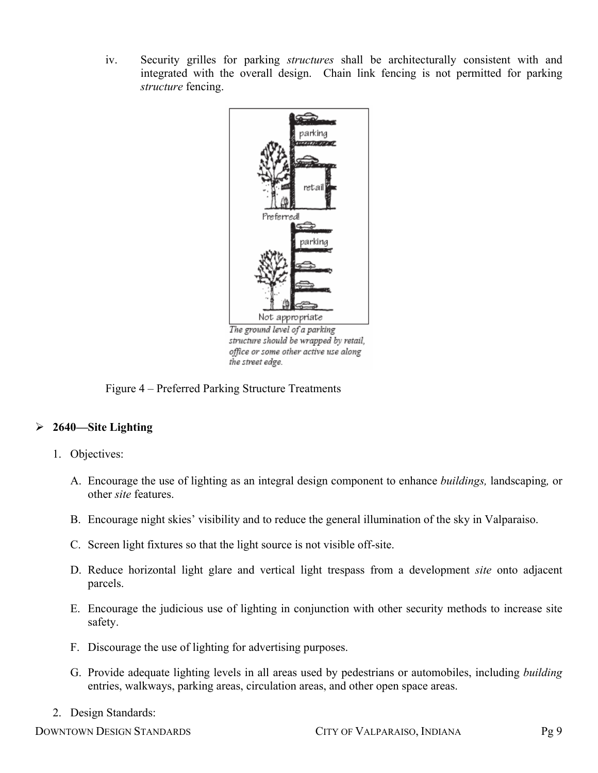iv. Security grilles for parking *structures* shall be architecturally consistent with and integrated with the overall design. Chain link fencing is not permitted for parking *structure* fencing.



structure should be wrapped by retail, office or some other active use along the street edge.

# Figure 4 – Preferred Parking Structure Treatments

# ¾ **2640—Site Lighting**

- 1. Objectives:
	- A. Encourage the use of lighting as an integral design component to enhance *buildings,* landscaping*,* or other *site* features.
	- B. Encourage night skies' visibility and to reduce the general illumination of the sky in Valparaiso.
	- C. Screen light fixtures so that the light source is not visible off-site.
	- D. Reduce horizontal light glare and vertical light trespass from a development *site* onto adjacent parcels.
	- E. Encourage the judicious use of lighting in conjunction with other security methods to increase site safety.
	- F. Discourage the use of lighting for advertising purposes.
	- G. Provide adequate lighting levels in all areas used by pedestrians or automobiles, including *building* entries, walkways, parking areas, circulation areas, and other open space areas.
- 2. Design Standards:

DOWNTOWN DESIGN STANDARDS CITY OF VALPARAISO, INDIANA Pg 9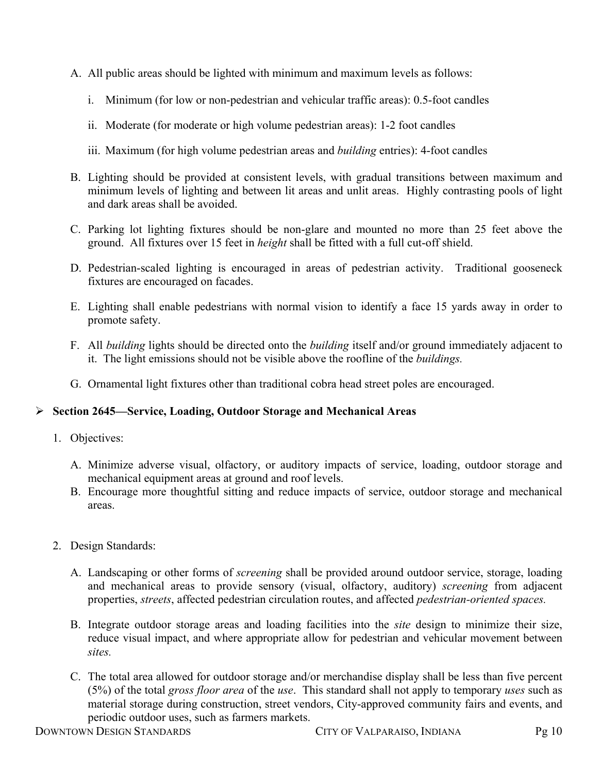- A. All public areas should be lighted with minimum and maximum levels as follows:
	- i. Minimum (for low or non-pedestrian and vehicular traffic areas): 0.5-foot candles
	- ii. Moderate (for moderate or high volume pedestrian areas): 1-2 foot candles
	- iii. Maximum (for high volume pedestrian areas and *building* entries): 4-foot candles
- B. Lighting should be provided at consistent levels, with gradual transitions between maximum and minimum levels of lighting and between lit areas and unlit areas. Highly contrasting pools of light and dark areas shall be avoided.
- C. Parking lot lighting fixtures should be non-glare and mounted no more than 25 feet above the ground. All fixtures over 15 feet in *height* shall be fitted with a full cut-off shield.
- D. Pedestrian-scaled lighting is encouraged in areas of pedestrian activity. Traditional gooseneck fixtures are encouraged on facades.
- E. Lighting shall enable pedestrians with normal vision to identify a face 15 yards away in order to promote safety.
- F. All *building* lights should be directed onto the *building* itself and/or ground immediately adjacent to it. The light emissions should not be visible above the roofline of the *buildings.*
- G. Ornamental light fixtures other than traditional cobra head street poles are encouraged.

## ¾ **Section 2645—Service, Loading, Outdoor Storage and Mechanical Areas**

- 1. Objectives:
	- A. Minimize adverse visual, olfactory, or auditory impacts of service, loading, outdoor storage and mechanical equipment areas at ground and roof levels.
	- B. Encourage more thoughtful sitting and reduce impacts of service, outdoor storage and mechanical areas.
- 2. Design Standards:
	- A. Landscaping or other forms of *screening* shall be provided around outdoor service, storage, loading and mechanical areas to provide sensory (visual, olfactory, auditory) *screening* from adjacent properties, *streets*, affected pedestrian circulation routes, and affected *pedestrian-oriented spaces.*
	- B. Integrate outdoor storage areas and loading facilities into the *site* design to minimize their size, reduce visual impact, and where appropriate allow for pedestrian and vehicular movement between *sites.*
	- C. The total area allowed for outdoor storage and/or merchandise display shall be less than five percent (5%) of the total *gross floor area* of the *use*. This standard shall not apply to temporary *uses* such as material storage during construction, street vendors, City-approved community fairs and events, and periodic outdoor uses, such as farmers markets.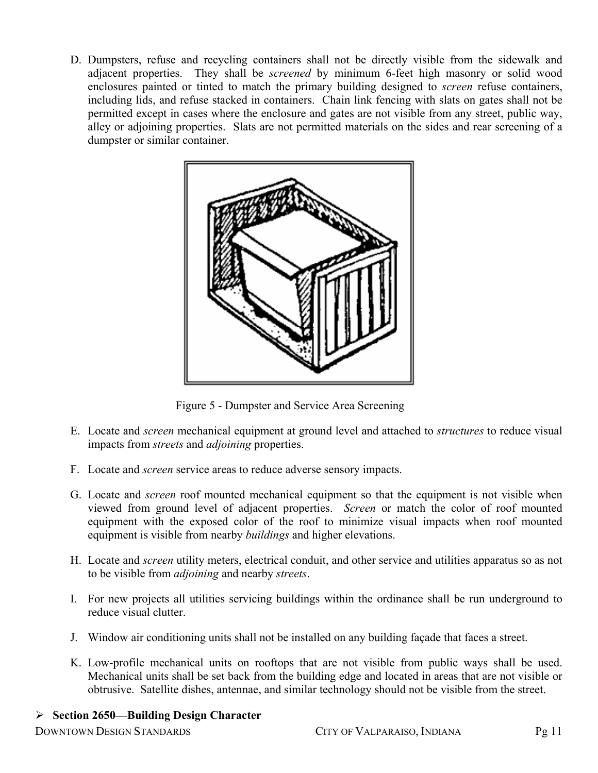D. Dumpsters, refuse and recycling containers shall not be directly visible from the sidewalk and adjacent properties. They shall be *screened* by minimum 6-feet high masonry or solid wood enclosures painted or tinted to match the primary building designed to *screen* refuse containers, including lids, and refuse stacked in containers. Chain link fencing with slats on gates shall not be permitted except in cases where the enclosure and gates are not visible from any street, public way, alley or adjoining properties. Slats are not permitted materials on the sides and rear screening of a dumpster or similar container.



Figure 5 - Dumpster and Service Area Screening

- E. Locate and *screen* mechanical equipment at ground level and attached to *structures* to reduce visual impacts from *streets* and *adjoining* properties.
- F. Locate and *screen* service areas to reduce adverse sensory impacts.
- G. Locate and *screen* roof mounted mechanical equipment so that the equipment is not visible when viewed from ground level of adjacent properties. *Screen* or match the color of roof mounted equipment with the exposed color of the roof to minimize visual impacts when roof mounted equipment is visible from nearby *buildings* and higher elevations.
- H. Locate and *screen* utility meters, electrical conduit, and other service and utilities apparatus so as not to be visible from *adjoining* and nearby *streets*.
- I. For new projects all utilities servicing buildings within the ordinance shall be run underground to reduce visual clutter.
- J. Window air conditioning units shall not be installed on any building façade that faces a street.
- K. Low-profile mechanical units on rooftops that are not visible from public ways shall be used. Mechanical units shall be set back from the building edge and located in areas that are not visible or obtrusive. Satellite dishes, antennae, and similar technology should not be visible from the street.

# ¾ **Section 2650—Building Design Character**

DOWNTOWN DESIGN STANDARDS CITY OF VALPARAISO, INDIANA Pg 11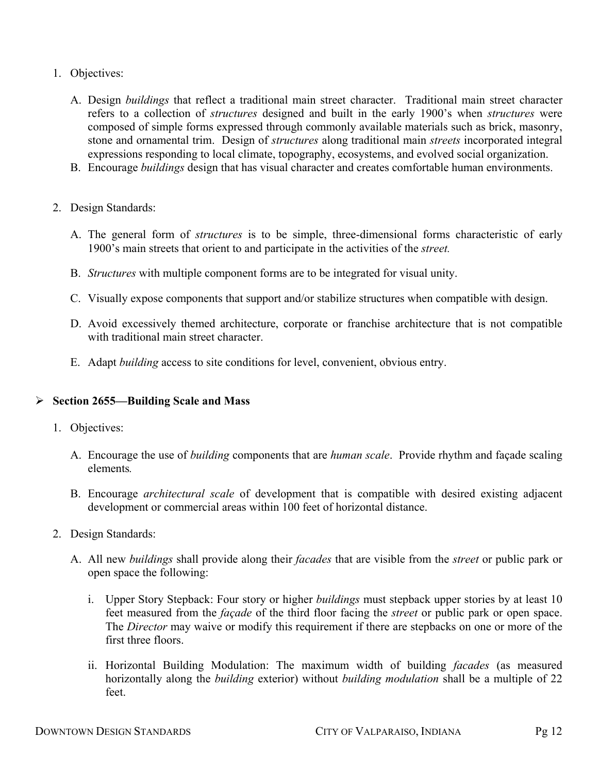- 1. Objectives:
	- A. Design *buildings* that reflect a traditional main street character. Traditional main street character refers to a collection of *structures* designed and built in the early 1900's when *structures* were composed of simple forms expressed through commonly available materials such as brick, masonry, stone and ornamental trim. Design of *structures* along traditional main *streets* incorporated integral expressions responding to local climate, topography, ecosystems, and evolved social organization.
	- B. Encourage *buildings* design that has visual character and creates comfortable human environments.
- 2. Design Standards:
	- A. The general form of *structures* is to be simple, three-dimensional forms characteristic of early 1900's main streets that orient to and participate in the activities of the *street.*
	- B. *Structures* with multiple component forms are to be integrated for visual unity.
	- C. Visually expose components that support and/or stabilize structures when compatible with design.
	- D. Avoid excessively themed architecture, corporate or franchise architecture that is not compatible with traditional main street character.
	- E. Adapt *building* access to site conditions for level, convenient, obvious entry.

#### ¾ **Section 2655—Building Scale and Mass**

- 1. Objectives:
	- A. Encourage the use of *building* components that are *human scale*. Provide rhythm and façade scaling elements*.*
	- B. Encourage *architectural scale* of development that is compatible with desired existing adjacent development or commercial areas within 100 feet of horizontal distance.
- 2. Design Standards:
	- A. All new *buildings* shall provide along their *facades* that are visible from the *street* or public park or open space the following:
		- i. Upper Story Stepback: Four story or higher *buildings* must stepback upper stories by at least 10 feet measured from the *façade* of the third floor facing the *street* or public park or open space. The *Director* may waive or modify this requirement if there are stepbacks on one or more of the first three floors
		- ii. Horizontal Building Modulation: The maximum width of building *facades* (as measured horizontally along the *building* exterior) without *building modulation* shall be a multiple of 22 feet.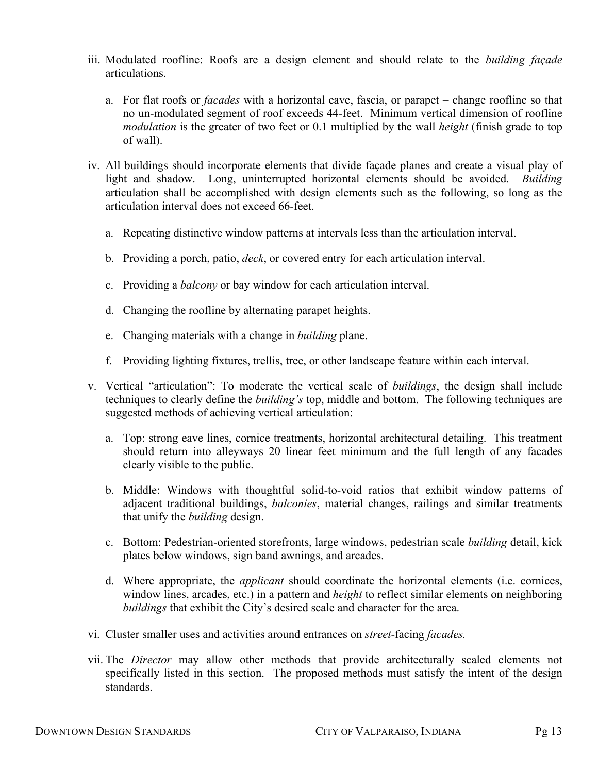- iii. Modulated roofline: Roofs are a design element and should relate to the *building façade* articulations.
	- a. For flat roofs or *facades* with a horizontal eave, fascia, or parapet change roofline so that no un-modulated segment of roof exceeds 44-feet. Minimum vertical dimension of roofline *modulation* is the greater of two feet or 0.1 multiplied by the wall *height* (finish grade to top of wall).
- iv. All buildings should incorporate elements that divide façade planes and create a visual play of light and shadow. Long, uninterrupted horizontal elements should be avoided. *Building* articulation shall be accomplished with design elements such as the following, so long as the articulation interval does not exceed 66-feet.
	- a. Repeating distinctive window patterns at intervals less than the articulation interval.
	- b. Providing a porch, patio, *deck*, or covered entry for each articulation interval.
	- c. Providing a *balcony* or bay window for each articulation interval.
	- d. Changing the roofline by alternating parapet heights.
	- e. Changing materials with a change in *building* plane.
	- f. Providing lighting fixtures, trellis, tree, or other landscape feature within each interval.
- v. Vertical "articulation": To moderate the vertical scale of *buildings*, the design shall include techniques to clearly define the *building's* top, middle and bottom. The following techniques are suggested methods of achieving vertical articulation:
	- a. Top: strong eave lines, cornice treatments, horizontal architectural detailing. This treatment should return into alleyways 20 linear feet minimum and the full length of any facades clearly visible to the public.
	- b. Middle: Windows with thoughtful solid-to-void ratios that exhibit window patterns of adjacent traditional buildings, *balconies*, material changes, railings and similar treatments that unify the *building* design.
	- c. Bottom: Pedestrian-oriented storefronts, large windows, pedestrian scale *building* detail, kick plates below windows, sign band awnings, and arcades.
	- d. Where appropriate, the *applicant* should coordinate the horizontal elements (i.e. cornices, window lines, arcades, etc.) in a pattern and *height* to reflect similar elements on neighboring *buildings* that exhibit the City's desired scale and character for the area.
- vi. Cluster smaller uses and activities around entrances on *street*-facing *facades.*
- vii. The *Director* may allow other methods that provide architecturally scaled elements not specifically listed in this section. The proposed methods must satisfy the intent of the design standards.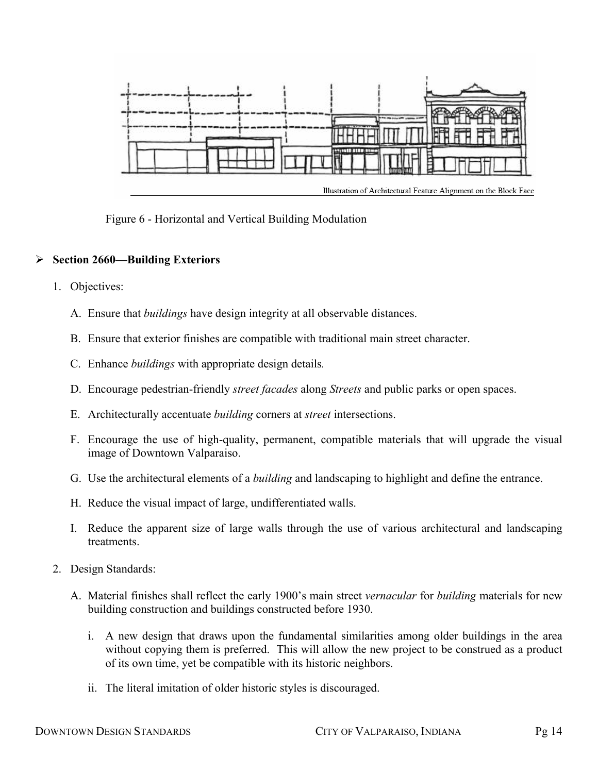

Figure 6 - Horizontal and Vertical Building Modulation

# ¾ **Section 2660—Building Exteriors**

- 1. Objectives:
	- A. Ensure that *buildings* have design integrity at all observable distances.
	- B. Ensure that exterior finishes are compatible with traditional main street character.
	- C. Enhance *buildings* with appropriate design details*.*
	- D. Encourage pedestrian-friendly *street facades* along *Streets* and public parks or open spaces.
	- E. Architecturally accentuate *building* corners at *street* intersections.
	- F. Encourage the use of high-quality, permanent, compatible materials that will upgrade the visual image of Downtown Valparaiso.
	- G. Use the architectural elements of a *building* and landscaping to highlight and define the entrance.
	- H. Reduce the visual impact of large, undifferentiated walls.
	- I. Reduce the apparent size of large walls through the use of various architectural and landscaping **treatments**
- 2. Design Standards:
	- A. Material finishes shall reflect the early 1900's main street *vernacular* for *building* materials for new building construction and buildings constructed before 1930.
		- i. A new design that draws upon the fundamental similarities among older buildings in the area without copying them is preferred. This will allow the new project to be construed as a product of its own time, yet be compatible with its historic neighbors.
		- ii. The literal imitation of older historic styles is discouraged.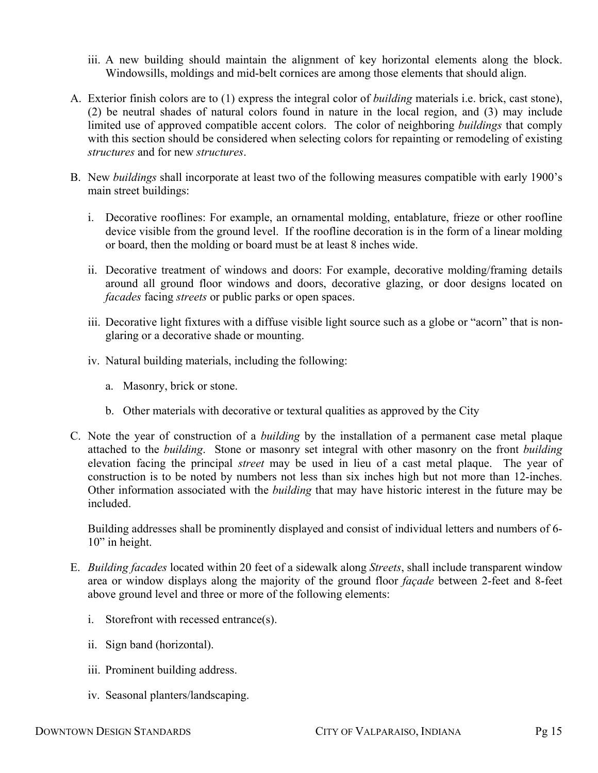- iii. A new building should maintain the alignment of key horizontal elements along the block. Windowsills, moldings and mid-belt cornices are among those elements that should align.
- A. Exterior finish colors are to (1) express the integral color of *building* materials i.e. brick, cast stone), (2) be neutral shades of natural colors found in nature in the local region, and (3) may include limited use of approved compatible accent colors. The color of neighboring *buildings* that comply with this section should be considered when selecting colors for repainting or remodeling of existing *structures* and for new *structures*.
- B. New *buildings* shall incorporate at least two of the following measures compatible with early 1900's main street buildings:
	- i. Decorative rooflines: For example, an ornamental molding, entablature, frieze or other roofline device visible from the ground level. If the roofline decoration is in the form of a linear molding or board, then the molding or board must be at least 8 inches wide.
	- ii. Decorative treatment of windows and doors: For example, decorative molding/framing details around all ground floor windows and doors, decorative glazing, or door designs located on *facades* facing *streets* or public parks or open spaces.
	- iii. Decorative light fixtures with a diffuse visible light source such as a globe or "acorn" that is nonglaring or a decorative shade or mounting.
	- iv. Natural building materials, including the following:
		- a. Masonry, brick or stone.
		- b. Other materials with decorative or textural qualities as approved by the City
- C. Note the year of construction of a *building* by the installation of a permanent case metal plaque attached to the *building*. Stone or masonry set integral with other masonry on the front *building* elevation facing the principal *street* may be used in lieu of a cast metal plaque. The year of construction is to be noted by numbers not less than six inches high but not more than 12-inches. Other information associated with the *building* that may have historic interest in the future may be included.

Building addresses shall be prominently displayed and consist of individual letters and numbers of 6- 10" in height.

- E. *Building facades* located within 20 feet of a sidewalk along *Streets*, shall include transparent window area or window displays along the majority of the ground floor *façade* between 2-feet and 8-feet above ground level and three or more of the following elements:
	- i. Storefront with recessed entrance(s).
	- ii. Sign band (horizontal).
	- iii. Prominent building address.
	- iv. Seasonal planters/landscaping.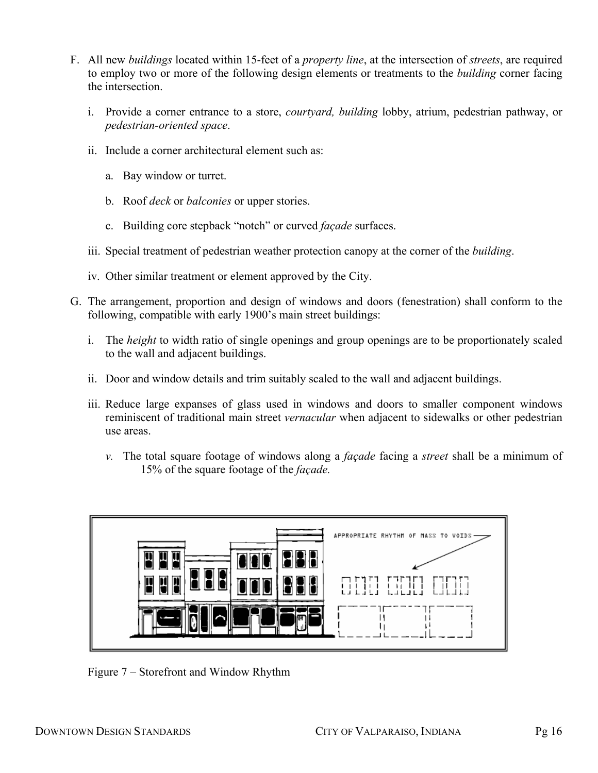- F. All new *buildings* located within 15-feet of a *property line*, at the intersection of *streets*, are required to employ two or more of the following design elements or treatments to the *building* corner facing the intersection.
	- i. Provide a corner entrance to a store, *courtyard, building* lobby, atrium, pedestrian pathway, or *pedestrian-oriented space*.
	- ii. Include a corner architectural element such as:
		- a. Bay window or turret.
		- b. Roof *deck* or *balconies* or upper stories.
		- c. Building core stepback "notch" or curved *façade* surfaces.
	- iii. Special treatment of pedestrian weather protection canopy at the corner of the *building*.
	- iv. Other similar treatment or element approved by the City.
- G. The arrangement, proportion and design of windows and doors (fenestration) shall conform to the following, compatible with early 1900's main street buildings:
	- i. The *height* to width ratio of single openings and group openings are to be proportionately scaled to the wall and adjacent buildings.
	- ii. Door and window details and trim suitably scaled to the wall and adjacent buildings.
	- iii. Reduce large expanses of glass used in windows and doors to smaller component windows reminiscent of traditional main street *vernacular* when adjacent to sidewalks or other pedestrian use areas.
		- *v.* The total square footage of windows along a *façade* facing a *street* shall be a minimum of 15% of the square footage of the *façade.*



Figure 7 – Storefront and Window Rhythm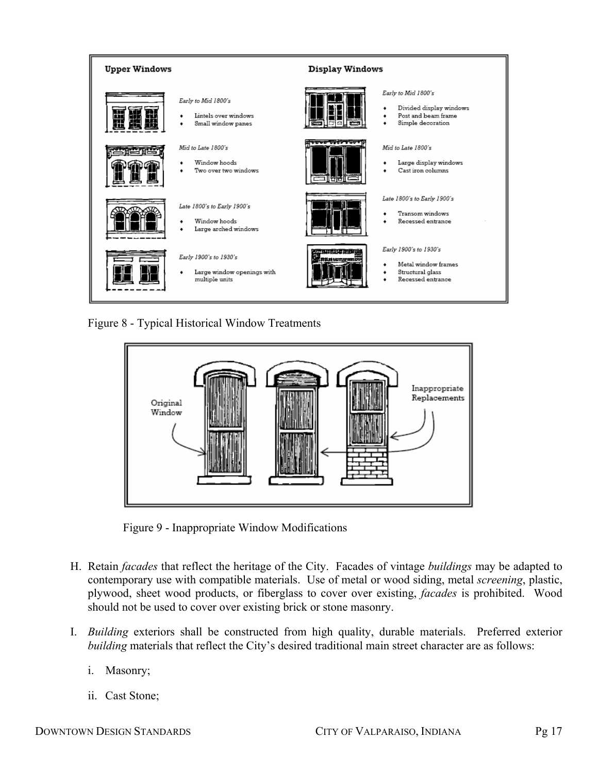

Figure 8 - Typical Historical Window Treatments



Figure 9 - Inappropriate Window Modifications

- H. Retain *facades* that reflect the heritage of the City. Facades of vintage *buildings* may be adapted to contemporary use with compatible materials. Use of metal or wood siding, metal *screening*, plastic, plywood, sheet wood products, or fiberglass to cover over existing, *facades* is prohibited. Wood should not be used to cover over existing brick or stone masonry.
- I. *Building* exteriors shall be constructed from high quality, durable materials. Preferred exterior *building* materials that reflect the City's desired traditional main street character are as follows:
	- i. Masonry;
	- ii. Cast Stone;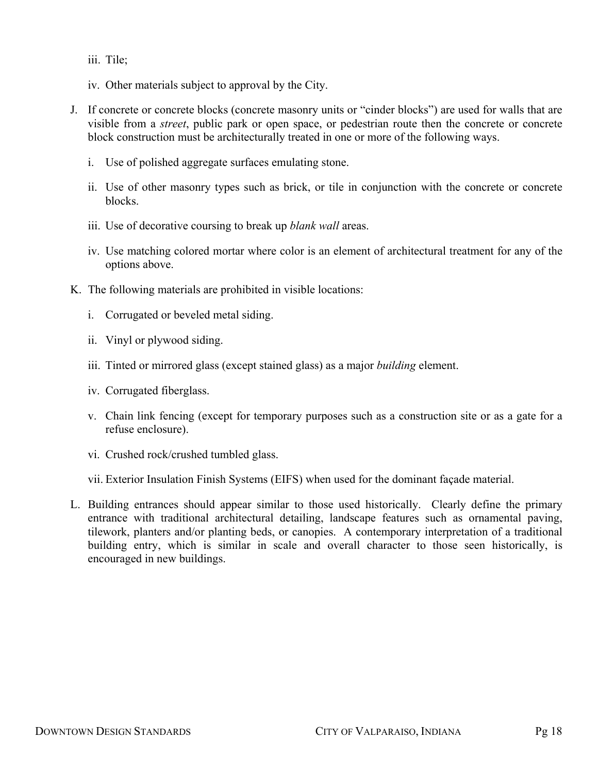- iii. Tile;
- iv. Other materials subject to approval by the City.
- J. If concrete or concrete blocks (concrete masonry units or "cinder blocks") are used for walls that are visible from a *street*, public park or open space, or pedestrian route then the concrete or concrete block construction must be architecturally treated in one or more of the following ways.
	- i. Use of polished aggregate surfaces emulating stone.
	- ii. Use of other masonry types such as brick, or tile in conjunction with the concrete or concrete blocks.
	- iii. Use of decorative coursing to break up *blank wall* areas.
	- iv. Use matching colored mortar where color is an element of architectural treatment for any of the options above.
- K. The following materials are prohibited in visible locations:
	- i. Corrugated or beveled metal siding.
	- ii. Vinyl or plywood siding.
	- iii. Tinted or mirrored glass (except stained glass) as a major *building* element.
	- iv. Corrugated fiberglass.
	- v. Chain link fencing (except for temporary purposes such as a construction site or as a gate for a refuse enclosure).
	- vi. Crushed rock/crushed tumbled glass.
	- vii. Exterior Insulation Finish Systems (EIFS) when used for the dominant façade material.
- L. Building entrances should appear similar to those used historically. Clearly define the primary entrance with traditional architectural detailing, landscape features such as ornamental paving, tilework, planters and/or planting beds, or canopies. A contemporary interpretation of a traditional building entry, which is similar in scale and overall character to those seen historically, is encouraged in new buildings.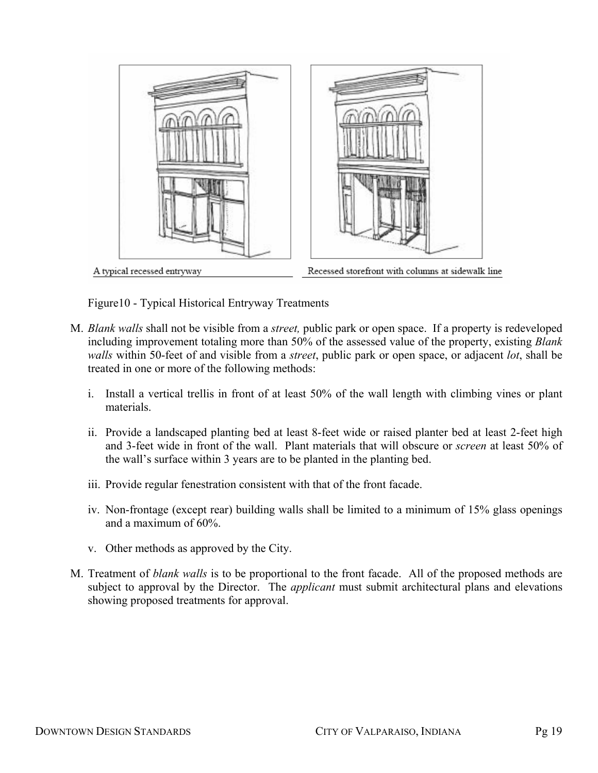

Figure10 - Typical Historical Entryway Treatments

- M. *Blank walls* shall not be visible from a *street,* public park or open space. If a property is redeveloped including improvement totaling more than 50% of the assessed value of the property, existing *Blank walls* within 50-feet of and visible from a *street*, public park or open space, or adjacent *lot*, shall be treated in one or more of the following methods:
	- i. Install a vertical trellis in front of at least 50% of the wall length with climbing vines or plant materials.
	- ii. Provide a landscaped planting bed at least 8-feet wide or raised planter bed at least 2-feet high and 3-feet wide in front of the wall. Plant materials that will obscure or *screen* at least 50% of the wall's surface within 3 years are to be planted in the planting bed.
	- iii. Provide regular fenestration consistent with that of the front facade.
	- iv. Non-frontage (except rear) building walls shall be limited to a minimum of 15% glass openings and a maximum of 60%.
	- v. Other methods as approved by the City.
- M. Treatment of *blank walls* is to be proportional to the front facade. All of the proposed methods are subject to approval by the Director. The *applicant* must submit architectural plans and elevations showing proposed treatments for approval.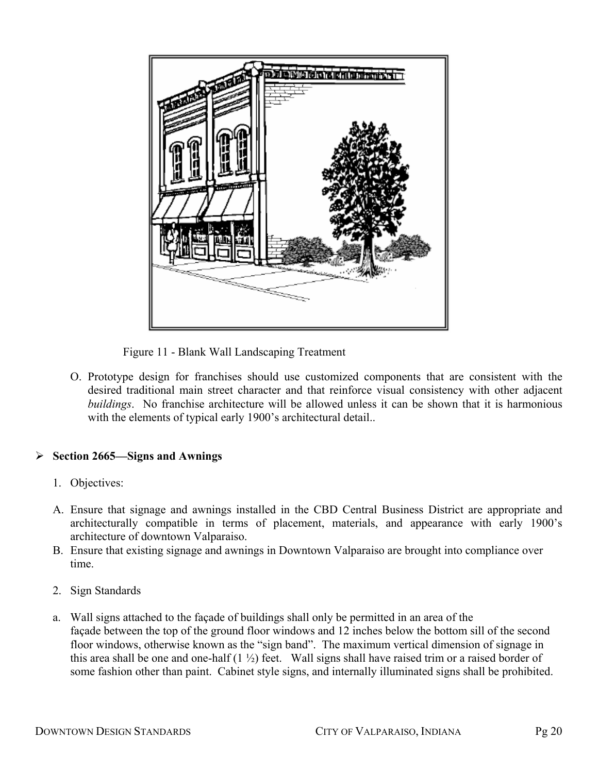

Figure 11 - Blank Wall Landscaping Treatment

O. Prototype design for franchises should use customized components that are consistent with the desired traditional main street character and that reinforce visual consistency with other adjacent *buildings*. No franchise architecture will be allowed unless it can be shown that it is harmonious with the elements of typical early 1900's architectural detail..

## ¾ **Section 2665—Signs and Awnings**

- 1. Objectives:
- A. Ensure that signage and awnings installed in the CBD Central Business District are appropriate and architecturally compatible in terms of placement, materials, and appearance with early 1900's architecture of downtown Valparaiso.
- B. Ensure that existing signage and awnings in Downtown Valparaiso are brought into compliance over time.
- 2. Sign Standards
- a. Wall signs attached to the façade of buildings shall only be permitted in an area of the façade between the top of the ground floor windows and 12 inches below the bottom sill of the second floor windows, otherwise known as the "sign band". The maximum vertical dimension of signage in this area shall be one and one-half  $(1 \frac{1}{2})$  feet. Wall signs shall have raised trim or a raised border of some fashion other than paint. Cabinet style signs, and internally illuminated signs shall be prohibited.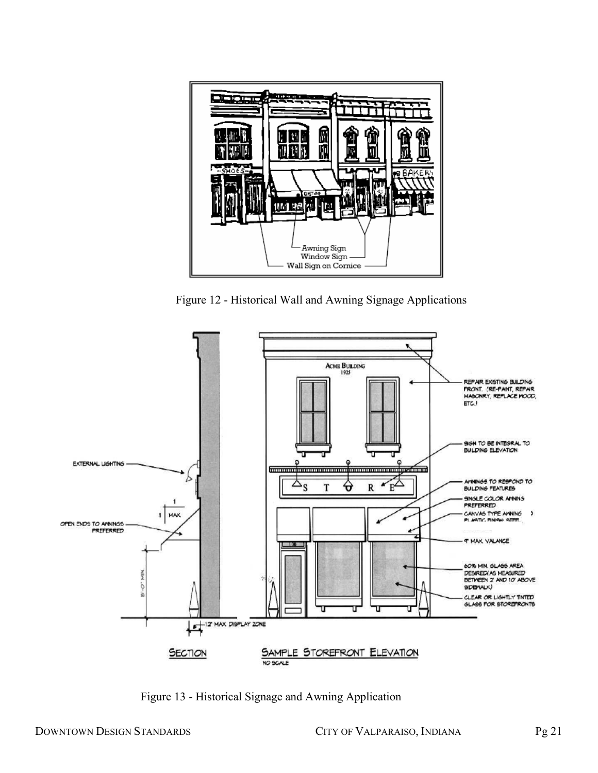

Figure 12 - Historical Wall and Awning Signage Applications



Figure 13 - Historical Signage and Awning Application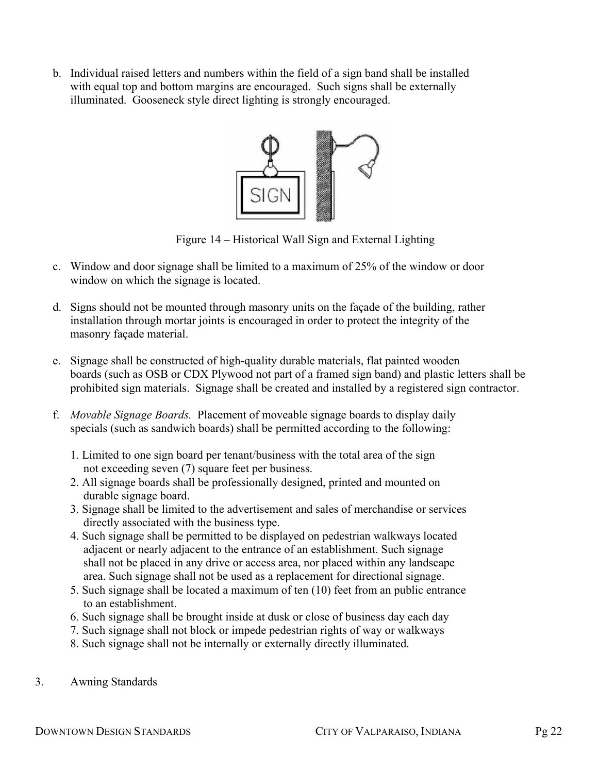b. Individual raised letters and numbers within the field of a sign band shall be installed with equal top and bottom margins are encouraged. Such signs shall be externally illuminated. Gooseneck style direct lighting is strongly encouraged.



Figure 14 – Historical Wall Sign and External Lighting

- c. Window and door signage shall be limited to a maximum of 25% of the window or door window on which the signage is located.
- d. Signs should not be mounted through masonry units on the façade of the building, rather installation through mortar joints is encouraged in order to protect the integrity of the masonry façade material.
- e. Signage shall be constructed of high-quality durable materials, flat painted wooden boards (such as OSB or CDX Plywood not part of a framed sign band) and plastic letters shall be prohibited sign materials. Signage shall be created and installed by a registered sign contractor.
- f. *Movable Signage Boards.* Placement of moveable signage boards to display daily specials (such as sandwich boards) shall be permitted according to the following:
	- 1. Limited to one sign board per tenant/business with the total area of the sign not exceeding seven (7) square feet per business.
	- 2. All signage boards shall be professionally designed, printed and mounted on durable signage board.
	- 3. Signage shall be limited to the advertisement and sales of merchandise or services directly associated with the business type.
	- 4. Such signage shall be permitted to be displayed on pedestrian walkways located adjacent or nearly adjacent to the entrance of an establishment. Such signage shall not be placed in any drive or access area, nor placed within any landscape area. Such signage shall not be used as a replacement for directional signage.
	- 5. Such signage shall be located a maximum of ten (10) feet from an public entrance to an establishment.
	- 6. Such signage shall be brought inside at dusk or close of business day each day
	- 7. Such signage shall not block or impede pedestrian rights of way or walkways
	- 8. Such signage shall not be internally or externally directly illuminated.
- 3. Awning Standards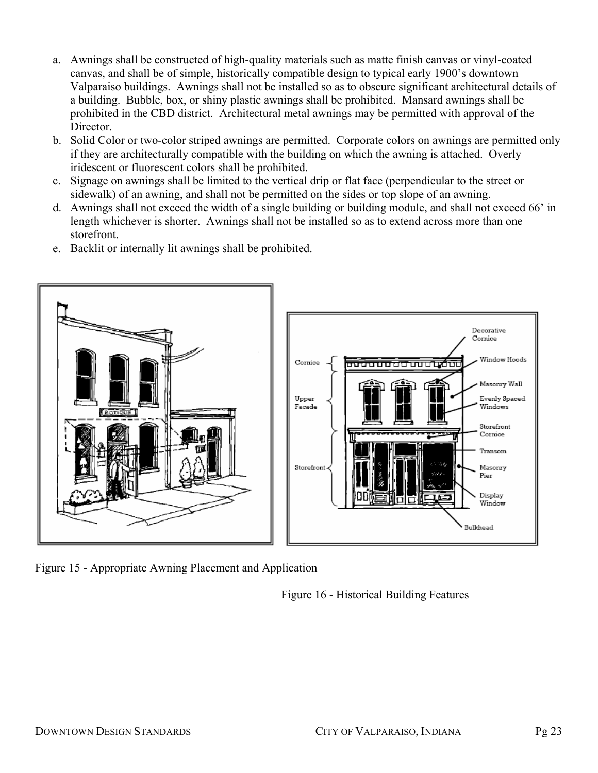- a. Awnings shall be constructed of high-quality materials such as matte finish canvas or vinyl-coated canvas, and shall be of simple, historically compatible design to typical early 1900's downtown Valparaiso buildings. Awnings shall not be installed so as to obscure significant architectural details of a building. Bubble, box, or shiny plastic awnings shall be prohibited. Mansard awnings shall be prohibited in the CBD district. Architectural metal awnings may be permitted with approval of the Director.
- b. Solid Color or two-color striped awnings are permitted. Corporate colors on awnings are permitted only if they are architecturally compatible with the building on which the awning is attached. Overly iridescent or fluorescent colors shall be prohibited.
- c. Signage on awnings shall be limited to the vertical drip or flat face (perpendicular to the street or sidewalk) of an awning, and shall not be permitted on the sides or top slope of an awning.
- d. Awnings shall not exceed the width of a single building or building module, and shall not exceed 66' in length whichever is shorter. Awnings shall not be installed so as to extend across more than one storefront.
- e. Backlit or internally lit awnings shall be prohibited.



Figure 15 - Appropriate Awning Placement and Application

Figure 16 - Historical Building Features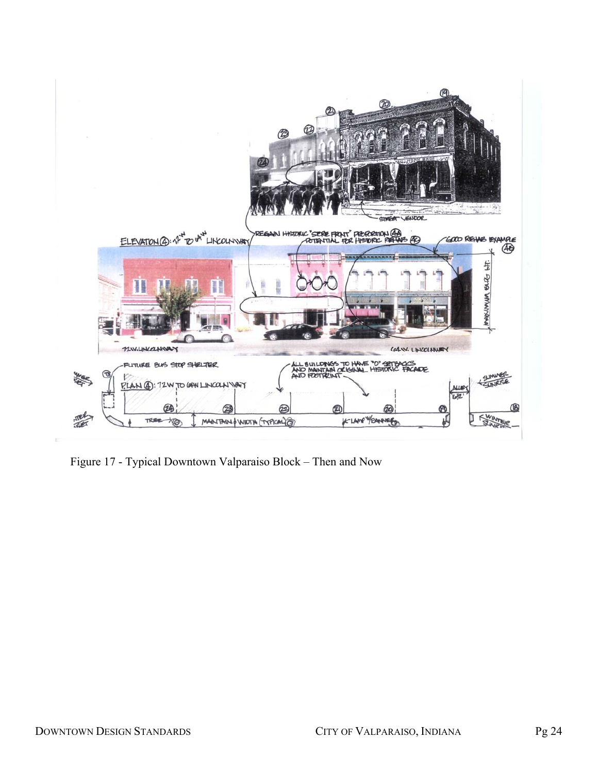

Figure 17 - Typical Downtown Valparaiso Block – Then and Now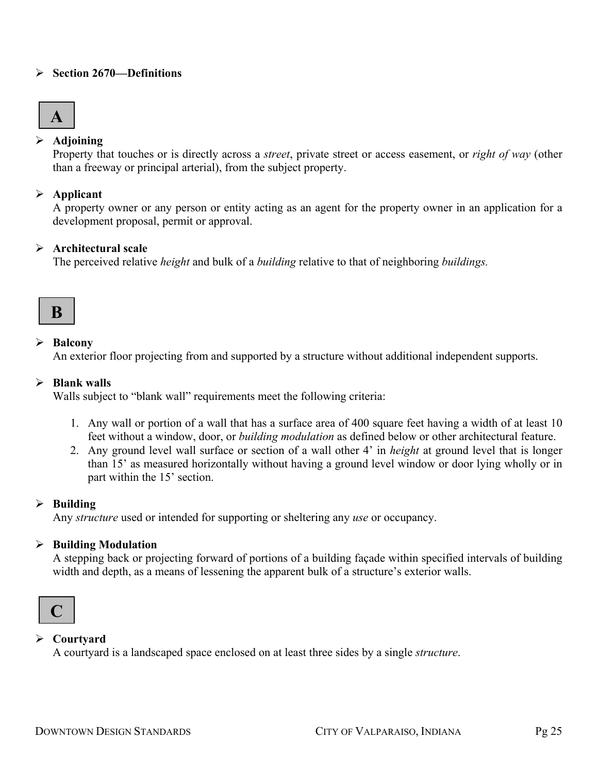#### ¾ **Section 2670—Definitions**

# **A**

## ¾ **Adjoining**

Property that touches or is directly across a *street*, private street or access easement, or *right of way* (other than a freeway or principal arterial), from the subject property.

# ¾ **Applicant**

A property owner or any person or entity acting as an agent for the property owner in an application for a development proposal, permit or approval.

# ¾ **Architectural scale**

The perceived relative *height* and bulk of a *building* relative to that of neighboring *buildings.*

# **B**

# ¾ **Balcony**

An exterior floor projecting from and supported by a structure without additional independent supports.

# ¾ **Blank walls**

Walls subject to "blank wall" requirements meet the following criteria:

- 1. Any wall or portion of a wall that has a surface area of 400 square feet having a width of at least 10 feet without a window, door, or *building modulation* as defined below or other architectural feature.
- 2. Any ground level wall surface or section of a wall other 4' in *height* at ground level that is longer than 15' as measured horizontally without having a ground level window or door lying wholly or in part within the 15' section.

## ¾ **Building**

Any *structure* used or intended for supporting or sheltering any *use* or occupancy.

## ¾ **Building Modulation**

A stepping back or projecting forward of portions of a building façade within specified intervals of building width and depth, as a means of lessening the apparent bulk of a structure's exterior walls.



# ¾ **Courtyard**

A courtyard is a landscaped space enclosed on at least three sides by a single *structure*.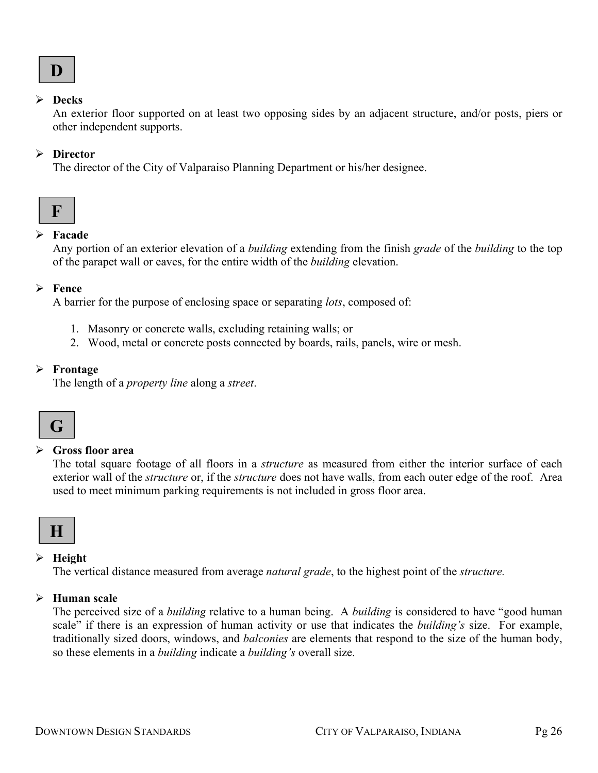#### ¾ **Decks**

An exterior floor supported on at least two opposing sides by an adjacent structure, and/or posts, piers or other independent supports.

## ¾ **Director**

The director of the City of Valparaiso Planning Department or his/her designee.



# ¾ **Facade**

Any portion of an exterior elevation of a *building* extending from the finish *grade* of the *building* to the top of the parapet wall or eaves, for the entire width of the *building* elevation.

## ¾ **Fence**

A barrier for the purpose of enclosing space or separating *lots*, composed of:

- 1. Masonry or concrete walls, excluding retaining walls; or
- 2. Wood, metal or concrete posts connected by boards, rails, panels, wire or mesh.

## ¾ **Frontage**

The length of a *property line* along a *street*.



## ¾ **Gross floor area**

The total square footage of all floors in a *structure* as measured from either the interior surface of each exterior wall of the *structure* or, if the *structure* does not have walls, from each outer edge of the roof. Area used to meet minimum parking requirements is not included in gross floor area.



## ¾ **Height**

The vertical distance measured from average *natural grade*, to the highest point of the *structure.*

## ¾ **Human scale**

The perceived size of a *building* relative to a human being. A *building* is considered to have "good human scale" if there is an expression of human activity or use that indicates the *building's* size. For example, traditionally sized doors, windows, and *balconies* are elements that respond to the size of the human body, so these elements in a *building* indicate a *building's* overall size.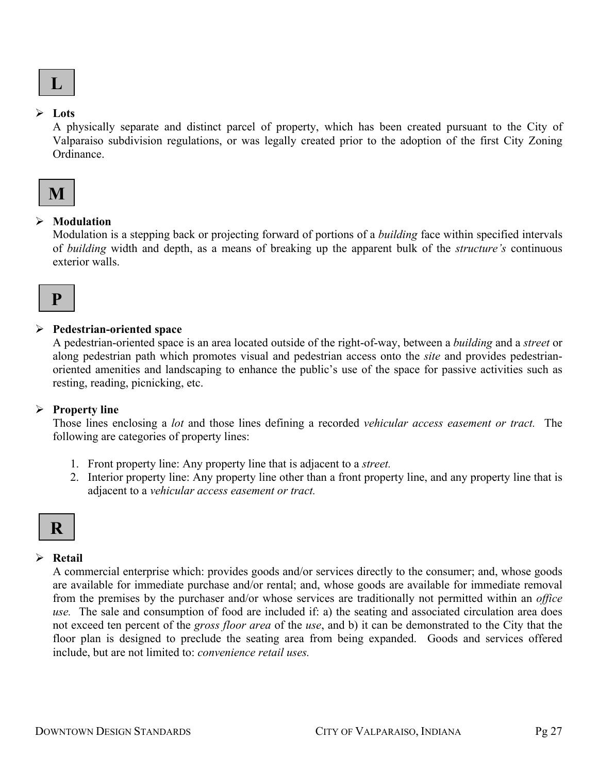

#### ¾ **Lots**

A physically separate and distinct parcel of property, which has been created pursuant to the City of Valparaiso subdivision regulations, or was legally created prior to the adoption of the first City Zoning Ordinance.

# **M**

#### ¾ **Modulation**

Modulation is a stepping back or projecting forward of portions of a *building* face within specified intervals of *building* width and depth, as a means of breaking up the apparent bulk of the *structure's* continuous exterior walls.

# **P**

#### ¾ **Pedestrian-oriented space**

A pedestrian-oriented space is an area located outside of the right-of-way, between a *building* and a *street* or along pedestrian path which promotes visual and pedestrian access onto the *site* and provides pedestrianoriented amenities and landscaping to enhance the public's use of the space for passive activities such as resting, reading, picnicking, etc.

## ¾ **Property line**

Those lines enclosing a *lot* and those lines defining a recorded *vehicular access easement or tract.* The following are categories of property lines:

- 1. Front property line: Any property line that is adjacent to a *street.*
- 2. Interior property line: Any property line other than a front property line, and any property line that is adjacent to a *vehicular access easement or tract.*

# **R**

# ¾ **Retail**

A commercial enterprise which: provides goods and/or services directly to the consumer; and, whose goods are available for immediate purchase and/or rental; and, whose goods are available for immediate removal from the premises by the purchaser and/or whose services are traditionally not permitted within an *office use.* The sale and consumption of food are included if: a) the seating and associated circulation area does not exceed ten percent of the *gross floor area* of the *use*, and b) it can be demonstrated to the City that the floor plan is designed to preclude the seating area from being expanded. Goods and services offered include, but are not limited to: *convenience retail uses.*